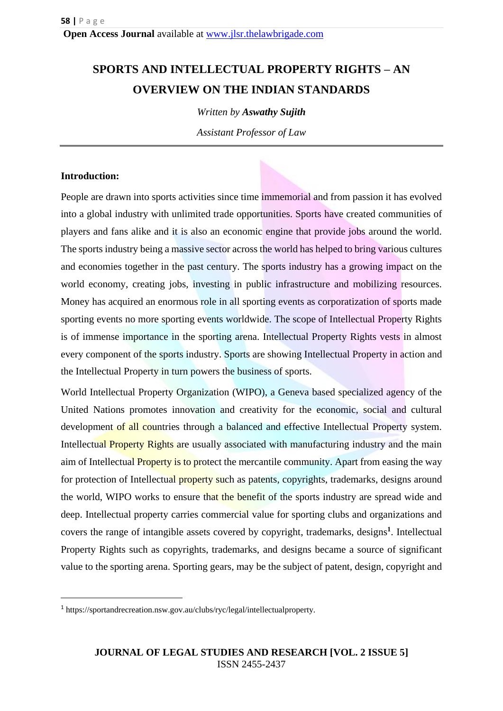# **SPORTS AND INTELLECTUAL PROPERTY RIGHTS – AN OVERVIEW ON THE INDIAN STANDARDS**

*Written by Aswathy Sujith*

*Assistant Professor of Law*

### **Introduction:**

**.** 

People are drawn into sports activities since time immemorial and from passion it has evolved into a global industry with unlimited trade opportunities. Sports have created communities of players and fans alike and it is also an economic engine that provide jobs around the world. The sports industry being a massive sector across the world has helped to bring various cultures and economies together in the past century. The sports industry has a growing impact on the world economy, creating jobs, investing in public infrastructure and mobilizing resources. Money has acquired an enormous role in all sporting events as corporatization of sports made sporting events no more sporting events worldwide. The scope of Intellectual Property Rights is of immense importance in the sporting arena. Intellectual Property Rights vests in almost every component of the sports industry. Sports are showing Intellectual Property in action and the Intellectual Property in turn powers the business of sports.

World Intellectual Property Organization (WIPO), a Geneva based specialized agency of the United Nations promotes innovation and creativity for the economic, social and cultural development of all countries through a balanced and effective Intellectual Property system. Intellectual **Property Rights** are usually associated with manufacturing industry and the main aim of Intellectual Property is to protect the mercantile community. Apart from easing the way for protection of Intellectual property such as patents, copyrights, trademarks, designs around the world, WIPO works to ensure that the benefit of the sports industry are spread wide and deep. Intellectual property carries commercial value for sporting clubs and organizations and covers the range of intangible assets covered by copyright, trademarks, designs**<sup>1</sup>** . Intellectual Property Rights such as copyrights, trademarks, and designs became a source of significant value to the sporting arena. Sporting gears, may be the subject of patent, design, copyright and

<sup>1</sup> https://sportandrecreation.nsw.gov.au/clubs/ryc/legal/intellectualproperty.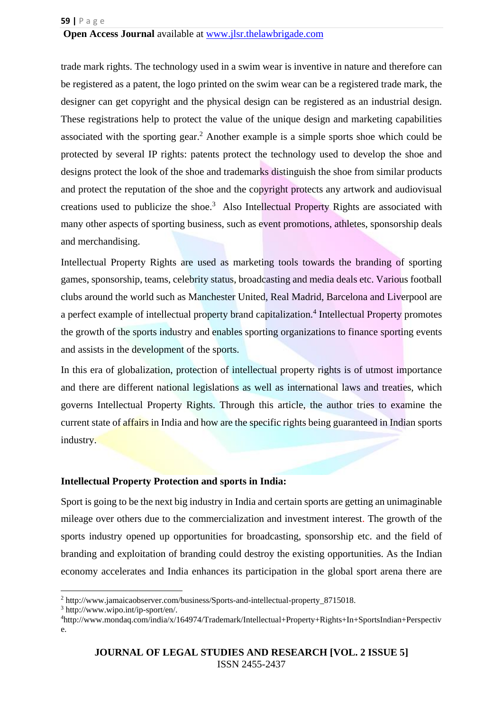trade mark rights. The technology used in a swim wear is inventive in nature and therefore can be registered as a patent, the logo printed on the swim wear can be a registered trade mark, the designer can get copyright and the physical design can be registered as an industrial design. These registrations help to protect the value of the unique design and marketing capabilities associated with the sporting gear. <sup>2</sup> Another example is a simple sports shoe which could be protected by several IP rights: patents protect the technology used to develop the shoe and designs protect the look of the shoe and trademarks distinguish the shoe from similar products and protect the reputation of the shoe and the copyright protects any artwork and audiovisual creations used to publicize the shoe.<sup>3</sup> Also Intellectual Property Rights are associated with many other aspects of sporting business, such as event promotions, athletes, sponsorship deals and merchandising.

Intellectual Property Rights are used as marketing tools towards the branding of sporting games, sponsorship, teams, celebrity status, broadcasting and media deals etc. Various football clubs around the world such as Manchester United, Real Madrid, Barcelona and Liverpool are a perfect example of intellectual property brand capitalization.<sup>4</sup> Intellectual Property promotes the growth of the sports industry and enables sporting organizations to finance sporting events and assists in the development of the sports.

In this era of globalization, protection of intellectual property rights is of utmost importance and there are different national legislations as well as international laws and treaties, which governs Intellectual Property Rights. Through this article, the author tries to examine the current state of **affairs** in India and how are the specific rights being guaranteed in Indian sports industry.

### **Intellectual Property Protection and sports in India:**

Sport is going to be the next big industry in India and certain sports are getting an unimaginable mileage over others due to the commercialization and investment interest. The growth of the sports industry opened up opportunities for broadcasting, sponsorship etc. and the field of branding and exploitation of branding could destroy the existing opportunities. As the Indian economy accelerates and India enhances its participation in the global sport arena there are

**.** 

<sup>2</sup> http://www.jamaicaobserver.com/business/Sports-and-intellectual-property\_8715018.

<sup>3</sup> http://www.wipo.int/ip-sport/en/.

<sup>4</sup>http://www.mondaq.com/india/x/164974/Trademark/Intellectual+Property+Rights+In+SportsIndian+Perspectiv e.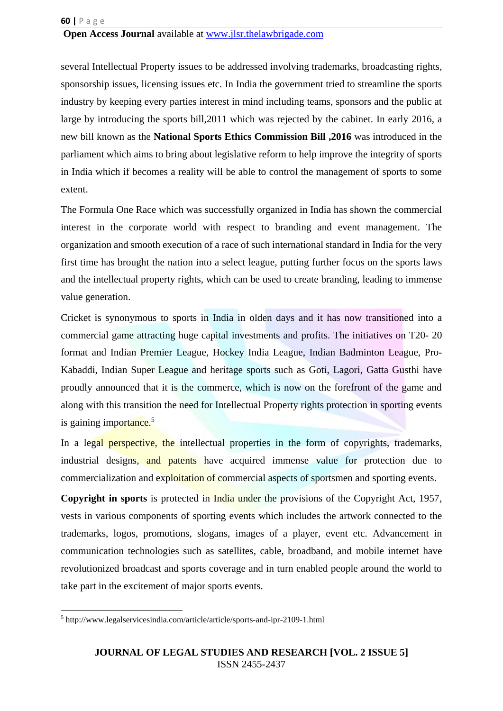several Intellectual Property issues to be addressed involving trademarks, broadcasting rights, sponsorship issues, licensing issues etc. In India the government tried to streamline the sports industry by keeping every parties interest in mind including teams, sponsors and the public at large by introducing the sports bill,2011 which was rejected by the cabinet. In early 2016, a new bill known as the **National Sports Ethics Commission Bill ,2016** was introduced in the parliament which aims to bring about legislative reform to help improve the integrity of sports in India which if becomes a reality will be able to control the management of sports to some extent.

The Formula One Race which was successfully organized in India has shown the commercial interest in the corporate world with respect to branding and event management. The organization and smooth execution of a race of such international standard in India for the very first time has brought the nation into a select league, putting further focus on the sports laws and the intellectual property rights, which can be used to create branding, leading to immense value generation.

Cricket is synonymous to sports in India in olden days and it has now transitioned into a commercial game attracting huge capital investments and profits. The initiatives on T20- 20 format and Indian Premier League, Hockey India League, Indian Badminton League, Pro-Kabaddi, Indian Super League and heritage sports such as Goti, Lagori, Gatta Gusthi have proudly announced that it is the commerce, which is now on the forefront of the game and along with this transition the need for Intellectual Property rights protection in sporting events is gaining importance. $5$ 

In a legal **perspective, the** intellectual properties in the form of copyrights, trademarks, industrial designs, and patents have acquired immense value for protection due to commercialization and exploitation of commercial aspects of sportsmen and sporting events.

**Copyright in sports** is protected in India under the provisions of the Copyright Act, 1957, vests in various components of sporting events which includes the artwork connected to the trademarks, logos, promotions, slogans, images of a player, event etc. Advancement in communication technologies such as satellites, cable, broadband, and mobile internet have revolutionized broadcast and sports coverage and in turn enabled people around the world to take part in the excitement of major sports events.

<sup>1</sup> <sup>5</sup> http://www.legalservicesindia.com/article/article/sports-and-ipr-2109-1.html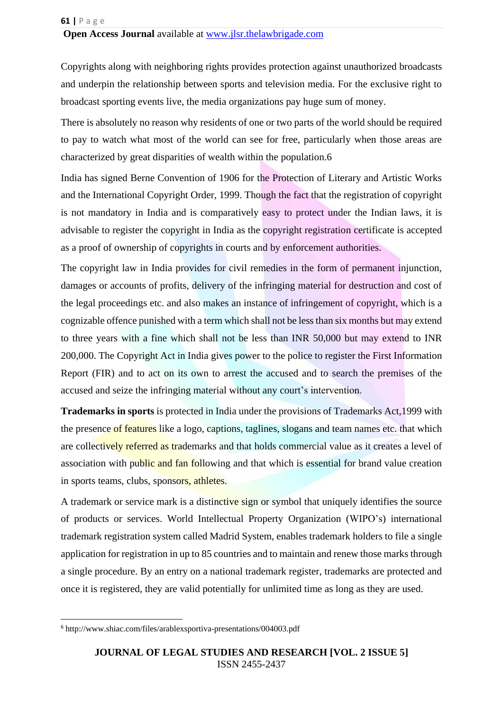Copyrights along with neighboring rights provides protection against unauthorized broadcasts and underpin the relationship between sports and television media. For the exclusive right to broadcast sporting events live, the media organizations pay huge sum of money.

There is absolutely no reason why residents of one or two parts of the world should be required to pay to watch what most of the world can see for free, particularly when those areas are characterized by great disparities of wealth within the population.6

India has signed Berne Convention of 1906 for the Protection of Literary and Artistic Works and the International Copyright Order, 1999. Though the fact that the registration of copyright is not mandatory in India and is comparatively easy to protect under the Indian laws, it is advisable to register the copyright in India as the copyright registration certificate is accepted as a proof of ownership of copyrights in courts and by enforcement authorities.

The copyright law in India provides for civil remedies in the form of permanent injunction, damages or accounts of profits, delivery of the infringing material for destruction and cost of the legal proceedings etc. and also makes an instance of infringement of copyright, which is a cognizable offence punished with a term which shall not be less than six months but may extend to three years with a fine which shall not be less than INR 50,000 but may extend to INR 200,000. The Copyright Act in India gives power to the police to register the First Information Report (FIR) and to act on its own to arrest the accused and to search the premises of the accused and seize the infringing material without any court's intervention.

**Trademarks in sports** is protected in India under the provisions of Trademarks Act,1999 with the presence of features like a logo, captions, taglines, slogans and team names etc. that which are collectively referred as trademarks and that holds commercial value as it creates a level of association with public and fan following and that which is essential for brand value creation in sports teams, clubs, sponsors, athletes.

A trademark or service mark is a distinctive sign or symbol that uniquely identifies the source of products or services. World Intellectual Property Organization (WIPO's) international trademark registration system called Madrid System, enables trademark holders to file a single application for registration in up to 85 countries and to maintain and renew those marks through a single procedure. By an entry on a national trademark register, trademarks are protected and once it is registered, they are valid potentially for unlimited time as long as they are used.

1

<sup>6</sup> http://www.shiac.com/files/arablexsportiva-presentations/004003.pdf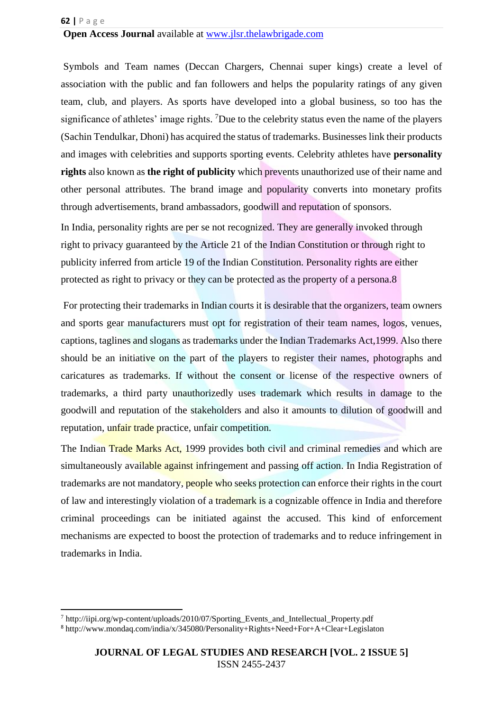#### **62 |** P a g e

**.** 

### **Open Access Journal** available at [www.jlsr.thelawbrigade.com](http://www.jlsr.thelawbrigade.com/)

Symbols and Team names (Deccan Chargers, Chennai super kings) create a level of association with the public and fan followers and helps the popularity ratings of any given team, club, and players. As sports have developed into a global business, so too has the significance of athletes' image rights. <sup>7</sup>Due to the celebrity status even the name of the players (Sachin Tendulkar, Dhoni) has acquired the status of trademarks. Businesses link their products and images with celebrities and supports sporting events. Celebrity athletes have **personality rights** also known as **the right of publicity** which prevents unauthorized use of their name and other personal attributes. The brand image and popularity converts into monetary profits through advertisements, brand ambassadors, goodwill and reputation of sponsors.

In India, personality rights are per se not recognized. They are generally invoked through right to privacy guaranteed by the Article 21 of the Indian Constitution or through right to publicity inferred from article 19 of the Indian Constitution. Personality rights are either protected as right to privacy or they can be protected as the property of a persona.8

For protecting their trademarks in Indian courts it is desirable that the organizers, team owners and sports gear manufacturers must opt for registration of their team names, logos, venues, captions, taglines and slogans as trademarks under the Indian Trademarks Act,1999. Also there should be an initiative on the part of the players to register their names, photographs and caricatures as trademarks. If without the consent or license of the respective owners of trademarks, a third party unauthorizedly uses trademark which results in damage to the goodwill and reputation of the stakeholders and also it amounts to dilution of goodwill and reputation, unfair trade practice, unfair competition.

The Indian Trade Marks Act, 1999 provides both civil and criminal remedies and which are simultaneously available against infringement and passing off action. In India Registration of trademarks are not mandatory, people who seeks protection can enforce their rights in the court of law and interestingly violation of a trademark is a cognizable offence in India and therefore criminal proceedings can be initiated against the accused. This kind of enforcement mechanisms are expected to boost the protection of trademarks and to reduce infringement in trademarks in India.

<sup>7</sup> http://iipi.org/wp-content/uploads/2010/07/Sporting\_Events\_and\_Intellectual\_Property.pdf <sup>8</sup> http://www.mondaq.com/india/x/345080/Personality+Rights+Need+For+A+Clear+Legislaton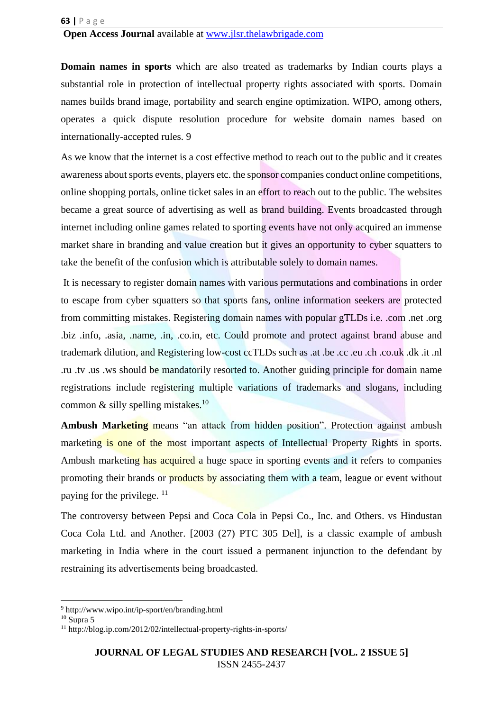**Domain names in sports** which are also treated as trademarks by Indian courts plays a substantial role in protection of intellectual property rights associated with sports. Domain names builds brand image, portability and search engine optimization. WIPO, among others, operates a quick dispute resolution procedure for website domain names based on internationally-accepted rules. 9

As we know that the internet is a cost effective method to reach out to the public and it creates awareness about sports events, players etc. the sponsor companies conduct online competitions, online shopping portals, online ticket sales in an effort to reach out to the public. The websites became a great source of advertising as well as brand building. Events broadcasted through internet including online games related to sporting events have not only acquired an immense market share in branding and value creation but it gives an opportunity to cyber squatters to take the benefit of the confusion which is attributable solely to domain names.

It is necessary to register domain names with various permutations and combinations in order to escape from cyber squatters so that sports fans, online information seekers are protected from committing mistakes. Registering domain names with popular gTLDs i.e. .com .net .org .biz .info, .asia, .name, .in, .co.in, etc. Could promote and protect against brand abuse and trademark dilution, and Registering low-cost ccTLDs such as .at .be .cc .eu .ch .co.uk .dk .it .nl .ru .tv .us .ws should be mandatorily resorted to. Another guiding principle for domain name registrations include registering multiple variations of trademarks and slogans, including common  $\&$  silly spelling mistakes.<sup>10</sup>

Ambush Marketing means "an attack from hidden position". Protection against ambush marketing is one of the most important aspects of Intellectual Property Rights in sports. Ambush marketing has acquired a huge space in sporting events and it refers to companies promoting their brands or products by associating them with a team, league or event without paying for the privilege.  $11$ 

The controversy between Pepsi and Coca Cola in Pepsi Co., Inc. and Others. vs Hindustan Coca Cola Ltd. and Another. [2003 (27) PTC 305 Del], is a classic example of ambush marketing in India where in the court issued a permanent injunction to the defendant by restraining its advertisements being broadcasted.

**.** 

<sup>9</sup> http://www.wipo.int/ip-sport/en/branding.html

 $10$  Supra 5

<sup>11</sup> http://blog.ip.com/2012/02/intellectual-property-rights-in-sports/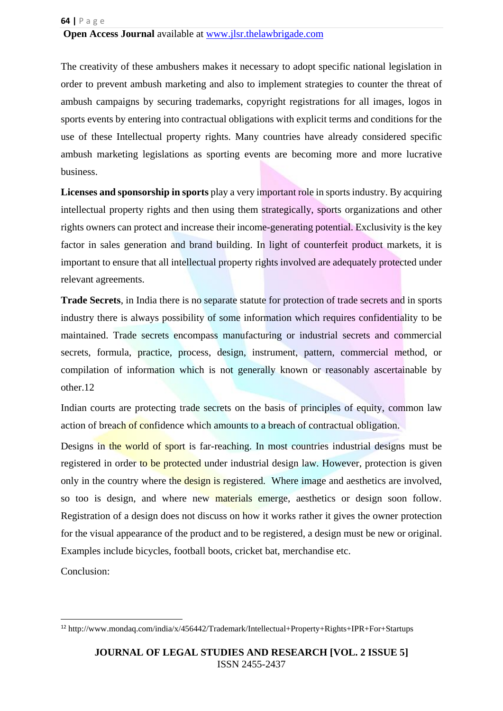The creativity of these ambushers makes it necessary to adopt specific national legislation in order to prevent ambush marketing and also to implement strategies to counter the threat of ambush campaigns by securing trademarks, copyright registrations for all images, logos in sports events by entering into contractual obligations with explicit terms and conditions for the use of these Intellectual property rights. Many countries have already considered specific ambush marketing legislations as sporting events are becoming more and more lucrative business.

**Licenses and sponsorship in sports** play a very important role in sports industry. By acquiring intellectual property rights and then using them strategically, sports organizations and other rights owners can protect and increase their income-generating potential. Exclusivity is the key factor in sales generation and brand building. In light of counterfeit product markets, it is important to ensure that all intellectual property rights involved are adequately protected under relevant agreements.

**Trade Secrets**, in India there is no separate statute for protection of trade secrets and in sports industry there is always possibility of some information which requires confidentiality to be maintained. Trade secrets encompass manufacturing or industrial secrets and commercial secrets, formula, practice, process, design, instrument, pattern, commercial method, or compilation of information which is not generally known or reasonably ascertainable by other.12

Indian courts are protecting trade secrets on the basis of principles of equity, common law action of breach of confidence which amounts to a breach of contractual obligation.

Designs in the world of sport is far-reaching. In most countries industrial designs must be registered in order to be protected under industrial design law. However, protection is given only in the country where the design is registered. Where image and aesthetics are involved, so too is design, and where new materials emerge, aesthetics or design soon follow. Registration of a design does not discuss on how it works rather it gives the owner protection for the visual appearance of the product and to be registered, a design must be new or original. Examples include bicycles, football boots, cricket bat, merchandise etc.

Conclusion:

1

<sup>12</sup> http://www.mondaq.com/india/x/456442/Trademark/Intellectual+Property+Rights+IPR+For+Startups